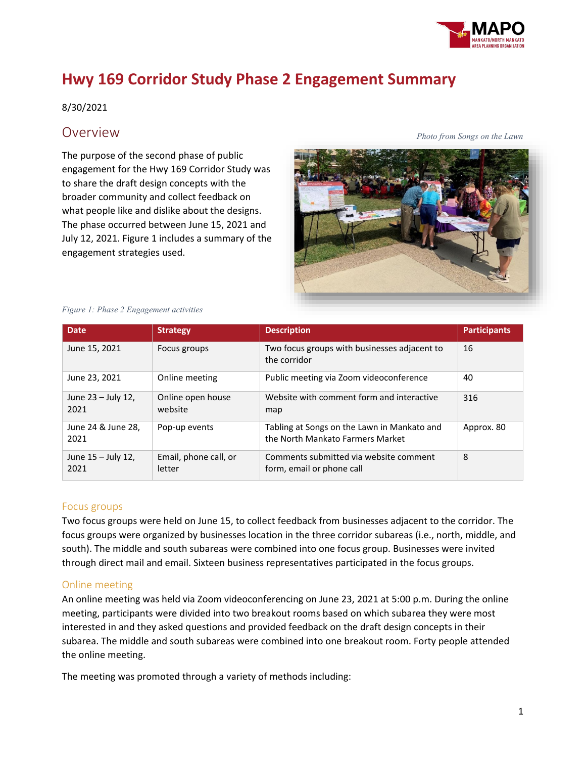

# **Hwy 169 Corridor Study Phase 2 Engagement Summary**

#### 8/30/2021

### Overview

The purpose of the second phase of public engagement for the Hwy 169 Corridor Study was to share the draft design concepts with the broader community and collect feedback on what people like and dislike about the designs. The phase occurred between June 15, 2021 and July 12, 2021. Figure 1 includes a summary of the engagement strategies used.



#### *Figure 1: Phase 2 Engagement activities*

| <b>Date</b>                | <b>Strategy</b>                 | <b>Description</b>                                                              | <b>Participants</b> |
|----------------------------|---------------------------------|---------------------------------------------------------------------------------|---------------------|
| June 15, 2021              | Focus groups                    | Two focus groups with businesses adjacent to<br>the corridor                    | 16                  |
| June 23, 2021              | Online meeting                  | Public meeting via Zoom videoconference                                         | 40                  |
| June 23 – July 12,<br>2021 | Online open house<br>website    | Website with comment form and interactive<br>map                                | 316                 |
| June 24 & June 28,<br>2021 | Pop-up events                   | Tabling at Songs on the Lawn in Mankato and<br>the North Mankato Farmers Market | Approx. 80          |
| June 15 - July 12,<br>2021 | Email, phone call, or<br>letter | Comments submitted via website comment<br>form, email or phone call             | 8                   |

#### Focus groups

Two focus groups were held on June 15, to collect feedback from businesses adjacent to the corridor. The focus groups were organized by businesses location in the three corridor subareas (i.e., north, middle, and south). The middle and south subareas were combined into one focus group. Businesses were invited through direct mail and email. Sixteen business representatives participated in the focus groups.

#### Online meeting

An online meeting was held via Zoom videoconferencing on June 23, 2021 at 5:00 p.m. During the online meeting, participants were divided into two breakout rooms based on which subarea they were most interested in and they asked questions and provided feedback on the draft design concepts in their subarea. The middle and south subareas were combined into one breakout room. Forty people attended the online meeting.

The meeting was promoted through a variety of methods including: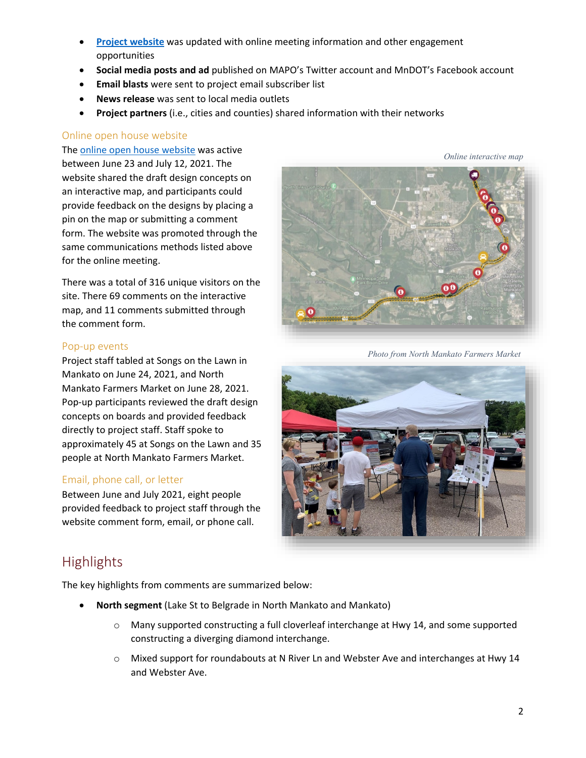- **[Project website](https://www.hwy169corridorstudy.com/)** was updated with online meeting information and other engagement opportunities
- **Social media posts and ad** published on MAPO's Twitter account and MnDOT's Facebook account
- **Email blasts** were sent to project email subscriber list
- **News release** was sent to local media outlets
- **Project partners** (i.e., cities and counties) shared information with their networks

#### Online open house website

The [online open house website](https://zan.mysocialpinpoint.com/hwy169corridorstudy) was active between June 23 and July 12, 2021. The website shared the draft design concepts on an interactive map, and participants could provide feedback on the designs by placing a pin on the map or submitting a comment form. The website was promoted through the same communications methods listed above for the online meeting.

There was a total of 316 unique visitors on the site. There 69 comments on the interactive map, and 11 comments submitted through the comment form.

#### Pop-up events

Project staff tabled at Songs on the Lawn in Mankato on June 24, 2021, and North Mankato Farmers Market on June 28, 2021. Pop-up participants reviewed the draft design concepts on boards and provided feedback directly to project staff. Staff spoke to approximately 45 at Songs on the Lawn and 35 people at North Mankato Farmers Market.

#### Email, phone call, or letter

Between June and July 2021, eight people provided feedback to project staff through the website comment form, email, or phone call.



*Online interactive map*

*Photo from North Mankato Farmers Market*



## **Highlights**

The key highlights from comments are summarized below:

- **North segment** (Lake St to Belgrade in North Mankato and Mankato)
	- $\circ$  Many supported constructing a full cloverleaf interchange at Hwy 14, and some supported constructing a diverging diamond interchange.
	- o Mixed support for roundabouts at N River Ln and Webster Ave and interchanges at Hwy 14 and Webster Ave.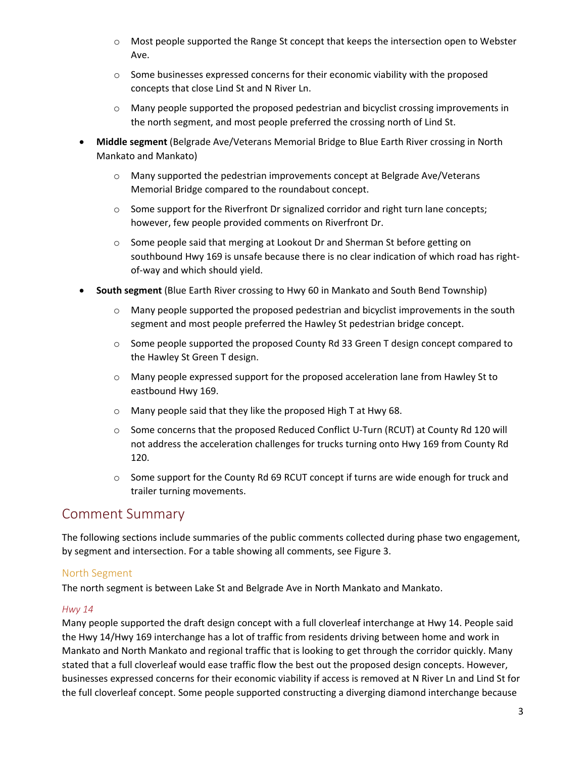- o Most people supported the Range St concept that keeps the intersection open to Webster Ave.
- $\circ$  Some businesses expressed concerns for their economic viability with the proposed concepts that close Lind St and N River Ln.
- $\circ$  Many people supported the proposed pedestrian and bicyclist crossing improvements in the north segment, and most people preferred the crossing north of Lind St.
- **Middle segment** (Belgrade Ave/Veterans Memorial Bridge to Blue Earth River crossing in North Mankato and Mankato)
	- $\circ$  Many supported the pedestrian improvements concept at Belgrade Ave/Veterans Memorial Bridge compared to the roundabout concept.
	- $\circ$  Some support for the Riverfront Dr signalized corridor and right turn lane concepts; however, few people provided comments on Riverfront Dr.
	- o Some people said that merging at Lookout Dr and Sherman St before getting on southbound Hwy 169 is unsafe because there is no clear indication of which road has rightof-way and which should yield.
- **South segment** (Blue Earth River crossing to Hwy 60 in Mankato and South Bend Township)
	- $\circ$  Many people supported the proposed pedestrian and bicyclist improvements in the south segment and most people preferred the Hawley St pedestrian bridge concept.
	- $\circ$  Some people supported the proposed County Rd 33 Green T design concept compared to the Hawley St Green T design.
	- $\circ$  Many people expressed support for the proposed acceleration lane from Hawley St to eastbound Hwy 169.
	- o Many people said that they like the proposed High T at Hwy 68.
	- o Some concerns that the proposed Reduced Conflict U-Turn (RCUT) at County Rd 120 will not address the acceleration challenges for trucks turning onto Hwy 169 from County Rd 120.
	- $\circ$  Some support for the County Rd 69 RCUT concept if turns are wide enough for truck and trailer turning movements.

## Comment Summary

The following sections include summaries of the public comments collected during phase two engagement, by segment and intersection. For a table showing all comments, see Figure 3.

#### North Segment

The north segment is between Lake St and Belgrade Ave in North Mankato and Mankato.

#### *Hwy 14*

Many people supported the draft design concept with a full cloverleaf interchange at Hwy 14. People said the Hwy 14/Hwy 169 interchange has a lot of traffic from residents driving between home and work in Mankato and North Mankato and regional traffic that is looking to get through the corridor quickly. Many stated that a full cloverleaf would ease traffic flow the best out the proposed design concepts. However, businesses expressed concerns for their economic viability if access is removed at N River Ln and Lind St for the full cloverleaf concept. Some people supported constructing a diverging diamond interchange because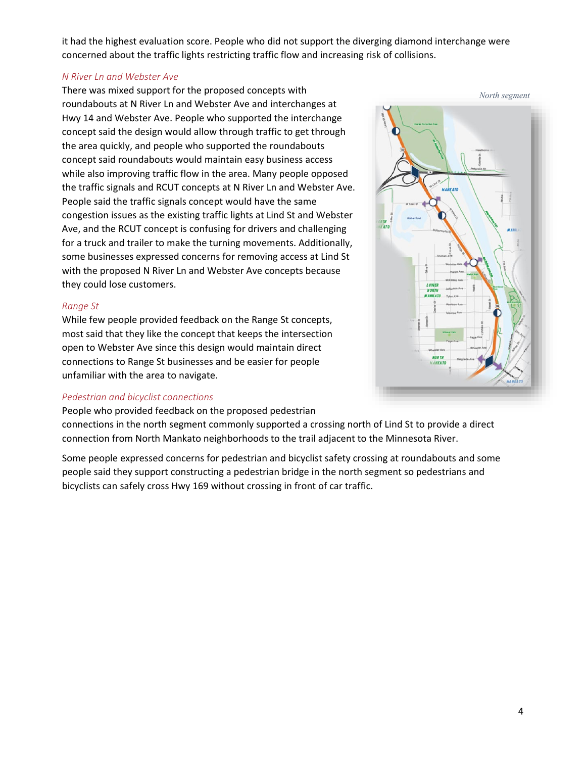it had the highest evaluation score. People who did not support the diverging diamond interchange were concerned about the traffic lights restricting traffic flow and increasing risk of collisions.

#### *N River Ln and Webster Ave*

There was mixed support for the proposed concepts with roundabouts at N River Ln and Webster Ave and interchanges at Hwy 14 and Webster Ave. People who supported the interchange concept said the design would allow through traffic to get through the area quickly, and people who supported the roundabouts concept said roundabouts would maintain easy business access while also improving traffic flow in the area. Many people opposed the traffic signals and RCUT concepts at N River Ln and Webster Ave. People said the traffic signals concept would have the same congestion issues as the existing traffic lights at Lind St and Webster Ave, and the RCUT concept is confusing for drivers and challenging for a truck and trailer to make the turning movements. Additionally, some businesses expressed concerns for removing access at Lind St with the proposed N River Ln and Webster Ave concepts because they could lose customers.

#### *Range St*

While few people provided feedback on the Range St concepts, most said that they like the concept that keeps the intersection open to Webster Ave since this design would maintain direct connections to Range St businesses and be easier for people unfamiliar with the area to navigate.

#### *Pedestrian and bicyclist connections*

People who provided feedback on the proposed pedestrian

connections in the north segment commonly supported a crossing north of Lind St to provide a direct connection from North Mankato neighborhoods to the trail adjacent to the Minnesota River.

Some people expressed concerns for pedestrian and bicyclist safety crossing at roundabouts and some people said they support constructing a pedestrian bridge in the north segment so pedestrians and bicyclists can safely cross Hwy 169 without crossing in front of car traffic.

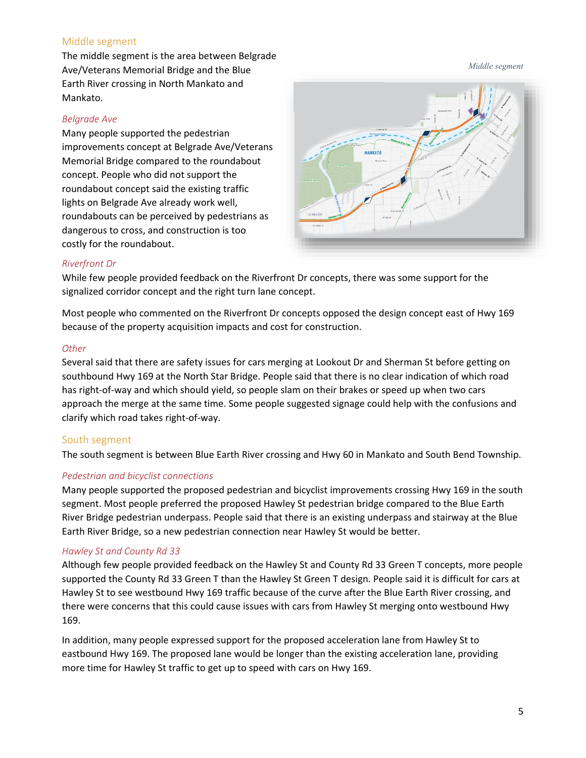#### Middle segment

The middle segment is the area between Belgrade Ave/Veterans Memorial Bridge and the Blue Earth River crossing in North Mankato and Mankato.

#### *Belgrade Ave*

Many people supported the pedestrian improvements concept at Belgrade Ave/Veterans Memorial Bridge compared to the roundabout concept. People who did not support the roundabout concept said the existing traffic lights on Belgrade Ave already work well, roundabouts can be perceived by pedestrians as dangerous to cross, and construction is too costly for the roundabout.



#### *Riverfront Dr*

While few people provided feedback on the Riverfront Dr concepts, there was some support for the signalized corridor concept and the right turn lane concept.

Most people who commented on the Riverfront Dr concepts opposed the design concept east of Hwy 169 because of the property acquisition impacts and cost for construction.

#### *Other*

Several said that there are safety issues for cars merging at Lookout Dr and Sherman St before getting on southbound Hwy 169 at the North Star Bridge. People said that there is no clear indication of which road has right-of-way and which should yield, so people slam on their brakes or speed up when two cars approach the merge at the same time. Some people suggested signage could help with the confusions and clarify which road takes right-of-way.

#### South segment

The south segment is between Blue Earth River crossing and Hwy 60 in Mankato and South Bend Township.

#### *Pedestrian and bicyclist connections*

Many people supported the proposed pedestrian and bicyclist improvements crossing Hwy 169 in the south segment. Most people preferred the proposed Hawley St pedestrian bridge compared to the Blue Earth River Bridge pedestrian underpass. People said that there is an existing underpass and stairway at the Blue Earth River Bridge, so a new pedestrian connection near Hawley St would be better.

#### *Hawley St and County Rd 33*

Although few people provided feedback on the Hawley St and County Rd 33 Green T concepts, more people supported the County Rd 33 Green T than the Hawley St Green T design. People said it is difficult for cars at Hawley St to see westbound Hwy 169 traffic because of the curve after the Blue Earth River crossing, and there were concerns that this could cause issues with cars from Hawley St merging onto westbound Hwy 169.

In addition, many people expressed support for the proposed acceleration lane from Hawley St to eastbound Hwy 169. The proposed lane would be longer than the existing acceleration lane, providing more time for Hawley St traffic to get up to speed with cars on Hwy 169.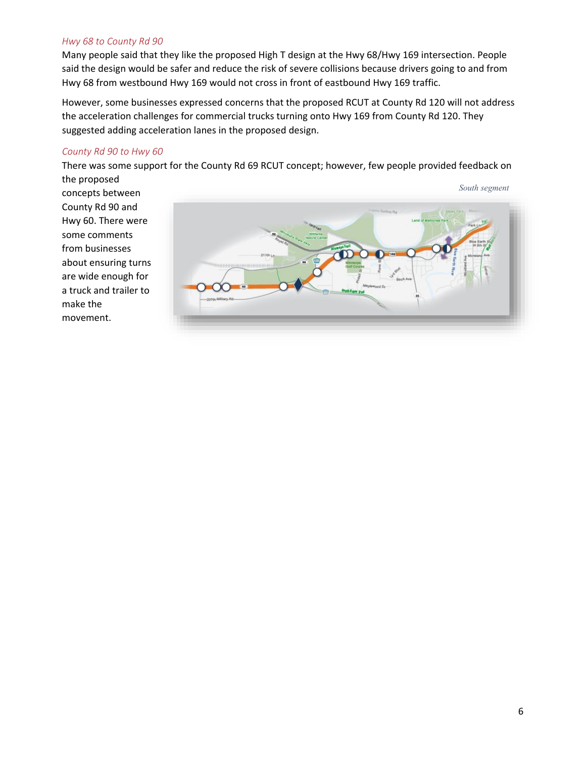#### *Hwy 68 to County Rd 90*

Many people said that they like the proposed High T design at the Hwy 68/Hwy 169 intersection. People said the design would be safer and reduce the risk of severe collisions because drivers going to and from Hwy 68 from westbound Hwy 169 would not cross in front of eastbound Hwy 169 traffic.

However, some businesses expressed concerns that the proposed RCUT at County Rd 120 will not address the acceleration challenges for commercial trucks turning onto Hwy 169 from County Rd 120. They suggested adding acceleration lanes in the proposed design.

#### *County Rd 90 to Hwy 60*

There was some support for the County Rd 69 RCUT concept; however, few people provided feedback on

the proposed concepts between County Rd 90 and Hwy 60. There were some comments from businesses about ensuring turns are wide enough for a truck and trailer to make the movement.

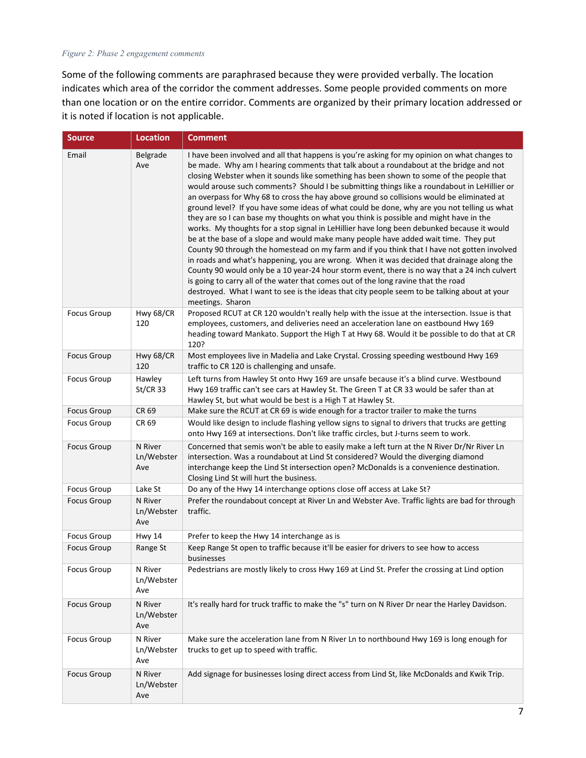#### *Figure 2: Phase 2 engagement comments*

Some of the following comments are paraphrased because they were provided verbally. The location indicates which area of the corridor the comment addresses. Some people provided comments on more than one location or on the entire corridor. Comments are organized by their primary location addressed or it is noted if location is not applicable.

| <b>Source</b>      | <b>Location</b>              | <b>Comment</b>                                                                                                                                                                                                                                                                                                                                                                                                                                                                                                                                                                                                                                                                                                                                                                                                                                                                                                                                                                                                                                                                                                                                                                                                                                                                                                                                                    |
|--------------------|------------------------------|-------------------------------------------------------------------------------------------------------------------------------------------------------------------------------------------------------------------------------------------------------------------------------------------------------------------------------------------------------------------------------------------------------------------------------------------------------------------------------------------------------------------------------------------------------------------------------------------------------------------------------------------------------------------------------------------------------------------------------------------------------------------------------------------------------------------------------------------------------------------------------------------------------------------------------------------------------------------------------------------------------------------------------------------------------------------------------------------------------------------------------------------------------------------------------------------------------------------------------------------------------------------------------------------------------------------------------------------------------------------|
| Email              | Belgrade<br>Ave              | I have been involved and all that happens is you're asking for my opinion on what changes to<br>be made. Why am I hearing comments that talk about a roundabout at the bridge and not<br>closing Webster when it sounds like something has been shown to some of the people that<br>would arouse such comments? Should I be submitting things like a roundabout in LeHillier or<br>an overpass for Why 68 to cross the hay above ground so collisions would be eliminated at<br>ground level? If you have some ideas of what could be done, why are you not telling us what<br>they are so I can base my thoughts on what you think is possible and might have in the<br>works. My thoughts for a stop signal in LeHillier have long been debunked because it would<br>be at the base of a slope and would make many people have added wait time. They put<br>County 90 through the homestead on my farm and if you think that I have not gotten involved<br>in roads and what's happening, you are wrong. When it was decided that drainage along the<br>County 90 would only be a 10 year-24 hour storm event, there is no way that a 24 inch culvert<br>is going to carry all of the water that comes out of the long ravine that the road<br>destroyed. What I want to see is the ideas that city people seem to be talking about at your<br>meetings. Sharon |
| <b>Focus Group</b> | Hwy 68/CR<br>120             | Proposed RCUT at CR 120 wouldn't really help with the issue at the intersection. Issue is that<br>employees, customers, and deliveries need an acceleration lane on eastbound Hwy 169<br>heading toward Mankato. Support the High T at Hwy 68. Would it be possible to do that at CR<br>120?                                                                                                                                                                                                                                                                                                                                                                                                                                                                                                                                                                                                                                                                                                                                                                                                                                                                                                                                                                                                                                                                      |
| <b>Focus Group</b> | Hwy 68/CR<br>120             | Most employees live in Madelia and Lake Crystal. Crossing speeding westbound Hwy 169<br>traffic to CR 120 is challenging and unsafe.                                                                                                                                                                                                                                                                                                                                                                                                                                                                                                                                                                                                                                                                                                                                                                                                                                                                                                                                                                                                                                                                                                                                                                                                                              |
| <b>Focus Group</b> | Hawley<br>$St/CR$ 33         | Left turns from Hawley St onto Hwy 169 are unsafe because it's a blind curve. Westbound<br>Hwy 169 traffic can't see cars at Hawley St. The Green T at CR 33 would be safer than at<br>Hawley St, but what would be best is a High T at Hawley St.                                                                                                                                                                                                                                                                                                                                                                                                                                                                                                                                                                                                                                                                                                                                                                                                                                                                                                                                                                                                                                                                                                                |
| <b>Focus Group</b> | CR 69                        | Make sure the RCUT at CR 69 is wide enough for a tractor trailer to make the turns                                                                                                                                                                                                                                                                                                                                                                                                                                                                                                                                                                                                                                                                                                                                                                                                                                                                                                                                                                                                                                                                                                                                                                                                                                                                                |
| <b>Focus Group</b> | CR 69                        | Would like design to include flashing yellow signs to signal to drivers that trucks are getting<br>onto Hwy 169 at intersections. Don't like traffic circles, but J-turns seem to work.                                                                                                                                                                                                                                                                                                                                                                                                                                                                                                                                                                                                                                                                                                                                                                                                                                                                                                                                                                                                                                                                                                                                                                           |
| <b>Focus Group</b> | N River<br>Ln/Webster<br>Ave | Concerned that semis won't be able to easily make a left turn at the N River Dr/Nr River Ln<br>intersection. Was a roundabout at Lind St considered? Would the diverging diamond<br>interchange keep the Lind St intersection open? McDonalds is a convenience destination.<br>Closing Lind St will hurt the business.                                                                                                                                                                                                                                                                                                                                                                                                                                                                                                                                                                                                                                                                                                                                                                                                                                                                                                                                                                                                                                            |
| <b>Focus Group</b> | Lake St                      | Do any of the Hwy 14 interchange options close off access at Lake St?                                                                                                                                                                                                                                                                                                                                                                                                                                                                                                                                                                                                                                                                                                                                                                                                                                                                                                                                                                                                                                                                                                                                                                                                                                                                                             |
| <b>Focus Group</b> | N River<br>Ln/Webster<br>Ave | Prefer the roundabout concept at River Ln and Webster Ave. Traffic lights are bad for through<br>traffic.                                                                                                                                                                                                                                                                                                                                                                                                                                                                                                                                                                                                                                                                                                                                                                                                                                                                                                                                                                                                                                                                                                                                                                                                                                                         |
| <b>Focus Group</b> | <b>Hwy 14</b>                | Prefer to keep the Hwy 14 interchange as is                                                                                                                                                                                                                                                                                                                                                                                                                                                                                                                                                                                                                                                                                                                                                                                                                                                                                                                                                                                                                                                                                                                                                                                                                                                                                                                       |
| <b>Focus Group</b> | Range St                     | Keep Range St open to traffic because it'll be easier for drivers to see how to access<br>businesses                                                                                                                                                                                                                                                                                                                                                                                                                                                                                                                                                                                                                                                                                                                                                                                                                                                                                                                                                                                                                                                                                                                                                                                                                                                              |
| <b>Focus Group</b> | N River<br>Ln/Webster<br>Ave | Pedestrians are mostly likely to cross Hwy 169 at Lind St. Prefer the crossing at Lind option                                                                                                                                                                                                                                                                                                                                                                                                                                                                                                                                                                                                                                                                                                                                                                                                                                                                                                                                                                                                                                                                                                                                                                                                                                                                     |
| <b>Focus Group</b> | N River<br>Ln/Webster<br>Ave | It's really hard for truck traffic to make the "s" turn on N River Dr near the Harley Davidson.                                                                                                                                                                                                                                                                                                                                                                                                                                                                                                                                                                                                                                                                                                                                                                                                                                                                                                                                                                                                                                                                                                                                                                                                                                                                   |
| Focus Group        | N River<br>Ln/Webster<br>Ave | Make sure the acceleration lane from N River Ln to northbound Hwy 169 is long enough for<br>trucks to get up to speed with traffic.                                                                                                                                                                                                                                                                                                                                                                                                                                                                                                                                                                                                                                                                                                                                                                                                                                                                                                                                                                                                                                                                                                                                                                                                                               |
| <b>Focus Group</b> | N River<br>Ln/Webster<br>Ave | Add signage for businesses losing direct access from Lind St, like McDonalds and Kwik Trip.                                                                                                                                                                                                                                                                                                                                                                                                                                                                                                                                                                                                                                                                                                                                                                                                                                                                                                                                                                                                                                                                                                                                                                                                                                                                       |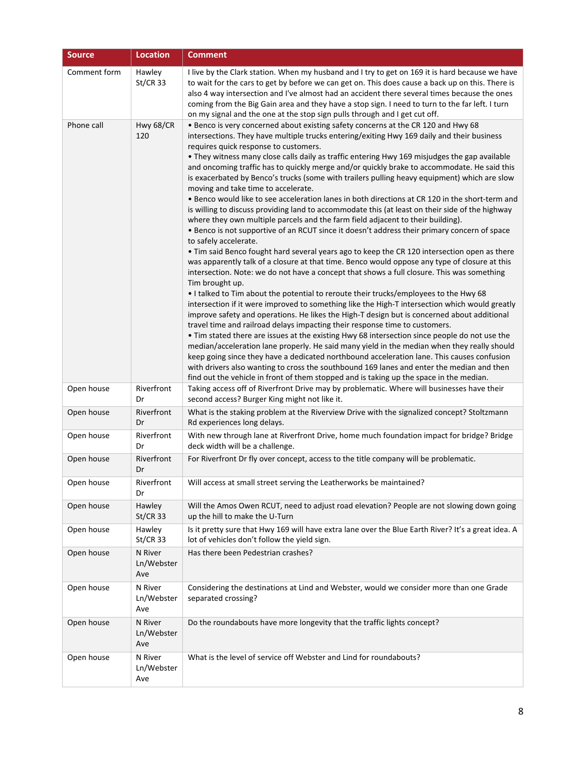| <b>Source</b> | <b>Location</b>              | <b>Comment</b>                                                                                                                                                                                                                                                                                                                                                                                                                                                                                                                                                                                                                                                                                                                                                                                                                                                                                                                                                                                                                                                                                                                                                                                                                                                                                                                                                                                                                                                                                                                                                                                                                                                                                                                                                                                                                                                                                                                                                                                                                                                                                                                                                     |
|---------------|------------------------------|--------------------------------------------------------------------------------------------------------------------------------------------------------------------------------------------------------------------------------------------------------------------------------------------------------------------------------------------------------------------------------------------------------------------------------------------------------------------------------------------------------------------------------------------------------------------------------------------------------------------------------------------------------------------------------------------------------------------------------------------------------------------------------------------------------------------------------------------------------------------------------------------------------------------------------------------------------------------------------------------------------------------------------------------------------------------------------------------------------------------------------------------------------------------------------------------------------------------------------------------------------------------------------------------------------------------------------------------------------------------------------------------------------------------------------------------------------------------------------------------------------------------------------------------------------------------------------------------------------------------------------------------------------------------------------------------------------------------------------------------------------------------------------------------------------------------------------------------------------------------------------------------------------------------------------------------------------------------------------------------------------------------------------------------------------------------------------------------------------------------------------------------------------------------|
| Comment form  | Hawley<br>$St/CR$ 33         | I live by the Clark station. When my husband and I try to get on 169 it is hard because we have<br>to wait for the cars to get by before we can get on. This does cause a back up on this. There is<br>also 4 way intersection and I've almost had an accident there several times because the ones<br>coming from the Big Gain area and they have a stop sign. I need to turn to the far left. I turn<br>on my signal and the one at the stop sign pulls through and I get cut off.                                                                                                                                                                                                                                                                                                                                                                                                                                                                                                                                                                                                                                                                                                                                                                                                                                                                                                                                                                                                                                                                                                                                                                                                                                                                                                                                                                                                                                                                                                                                                                                                                                                                               |
| Phone call    | Hwy 68/CR<br>120             | • Benco is very concerned about existing safety concerns at the CR 120 and Hwy 68<br>intersections. They have multiple trucks entering/exiting Hwy 169 daily and their business<br>requires quick response to customers.<br>• They witness many close calls daily as traffic entering Hwy 169 misjudges the gap available<br>and oncoming traffic has to quickly merge and/or quickly brake to accommodate. He said this<br>is exacerbated by Benco's trucks (some with trailers pulling heavy equipment) which are slow<br>moving and take time to accelerate.<br>. Benco would like to see acceleration lanes in both directions at CR 120 in the short-term and<br>is willing to discuss providing land to accommodate this (at least on their side of the highway<br>where they own multiple parcels and the farm field adjacent to their building).<br>• Benco is not supportive of an RCUT since it doesn't address their primary concern of space<br>to safely accelerate.<br>. Tim said Benco fought hard several years ago to keep the CR 120 intersection open as there<br>was apparently talk of a closure at that time. Benco would oppose any type of closure at this<br>intersection. Note: we do not have a concept that shows a full closure. This was something<br>Tim brought up.<br>. I talked to Tim about the potential to reroute their trucks/employees to the Hwy 68<br>intersection if it were improved to something like the High-T intersection which would greatly<br>improve safety and operations. He likes the High-T design but is concerned about additional<br>travel time and railroad delays impacting their response time to customers.<br>• Tim stated there are issues at the existing Hwy 68 intersection since people do not use the<br>median/acceleration lane properly. He said many yield in the median when they really should<br>keep going since they have a dedicated northbound acceleration lane. This causes confusion<br>with drivers also wanting to cross the southbound 169 lanes and enter the median and then<br>find out the vehicle in front of them stopped and is taking up the space in the median. |
| Open house    | Riverfront<br>Dr             | Taking access off of Riverfront Drive may by problematic. Where will businesses have their<br>second access? Burger King might not like it.                                                                                                                                                                                                                                                                                                                                                                                                                                                                                                                                                                                                                                                                                                                                                                                                                                                                                                                                                                                                                                                                                                                                                                                                                                                                                                                                                                                                                                                                                                                                                                                                                                                                                                                                                                                                                                                                                                                                                                                                                        |
| Open house    | Riverfront<br>Dr             | What is the staking problem at the Riverview Drive with the signalized concept? Stoltzmann<br>Rd experiences long delays.                                                                                                                                                                                                                                                                                                                                                                                                                                                                                                                                                                                                                                                                                                                                                                                                                                                                                                                                                                                                                                                                                                                                                                                                                                                                                                                                                                                                                                                                                                                                                                                                                                                                                                                                                                                                                                                                                                                                                                                                                                          |
| Open house    | Riverfront<br>Dr             | With new through lane at Riverfront Drive, home much foundation impact for bridge? Bridge<br>deck width will be a challenge.                                                                                                                                                                                                                                                                                                                                                                                                                                                                                                                                                                                                                                                                                                                                                                                                                                                                                                                                                                                                                                                                                                                                                                                                                                                                                                                                                                                                                                                                                                                                                                                                                                                                                                                                                                                                                                                                                                                                                                                                                                       |
| Open house    | Riverfront<br>Dr             | For Riverfront Dr fly over concept, access to the title company will be problematic.                                                                                                                                                                                                                                                                                                                                                                                                                                                                                                                                                                                                                                                                                                                                                                                                                                                                                                                                                                                                                                                                                                                                                                                                                                                                                                                                                                                                                                                                                                                                                                                                                                                                                                                                                                                                                                                                                                                                                                                                                                                                               |
| Open house    | Riverfront<br>Dr             | Will access at small street serving the Leatherworks be maintained?                                                                                                                                                                                                                                                                                                                                                                                                                                                                                                                                                                                                                                                                                                                                                                                                                                                                                                                                                                                                                                                                                                                                                                                                                                                                                                                                                                                                                                                                                                                                                                                                                                                                                                                                                                                                                                                                                                                                                                                                                                                                                                |
| Open house    | Hawley<br>$St/CR$ 33         | Will the Amos Owen RCUT, need to adjust road elevation? People are not slowing down going<br>up the hill to make the U-Turn                                                                                                                                                                                                                                                                                                                                                                                                                                                                                                                                                                                                                                                                                                                                                                                                                                                                                                                                                                                                                                                                                                                                                                                                                                                                                                                                                                                                                                                                                                                                                                                                                                                                                                                                                                                                                                                                                                                                                                                                                                        |
| Open house    | Hawley<br>$St/CR$ 33         | Is it pretty sure that Hwy 169 will have extra lane over the Blue Earth River? It's a great idea. A<br>lot of vehicles don't follow the yield sign.                                                                                                                                                                                                                                                                                                                                                                                                                                                                                                                                                                                                                                                                                                                                                                                                                                                                                                                                                                                                                                                                                                                                                                                                                                                                                                                                                                                                                                                                                                                                                                                                                                                                                                                                                                                                                                                                                                                                                                                                                |
| Open house    | N River<br>Ln/Webster<br>Ave | Has there been Pedestrian crashes?                                                                                                                                                                                                                                                                                                                                                                                                                                                                                                                                                                                                                                                                                                                                                                                                                                                                                                                                                                                                                                                                                                                                                                                                                                                                                                                                                                                                                                                                                                                                                                                                                                                                                                                                                                                                                                                                                                                                                                                                                                                                                                                                 |
| Open house    | N River<br>Ln/Webster<br>Ave | Considering the destinations at Lind and Webster, would we consider more than one Grade<br>separated crossing?                                                                                                                                                                                                                                                                                                                                                                                                                                                                                                                                                                                                                                                                                                                                                                                                                                                                                                                                                                                                                                                                                                                                                                                                                                                                                                                                                                                                                                                                                                                                                                                                                                                                                                                                                                                                                                                                                                                                                                                                                                                     |
| Open house    | N River<br>Ln/Webster<br>Ave | Do the roundabouts have more longevity that the traffic lights concept?                                                                                                                                                                                                                                                                                                                                                                                                                                                                                                                                                                                                                                                                                                                                                                                                                                                                                                                                                                                                                                                                                                                                                                                                                                                                                                                                                                                                                                                                                                                                                                                                                                                                                                                                                                                                                                                                                                                                                                                                                                                                                            |
| Open house    | N River<br>Ln/Webster<br>Ave | What is the level of service off Webster and Lind for roundabouts?                                                                                                                                                                                                                                                                                                                                                                                                                                                                                                                                                                                                                                                                                                                                                                                                                                                                                                                                                                                                                                                                                                                                                                                                                                                                                                                                                                                                                                                                                                                                                                                                                                                                                                                                                                                                                                                                                                                                                                                                                                                                                                 |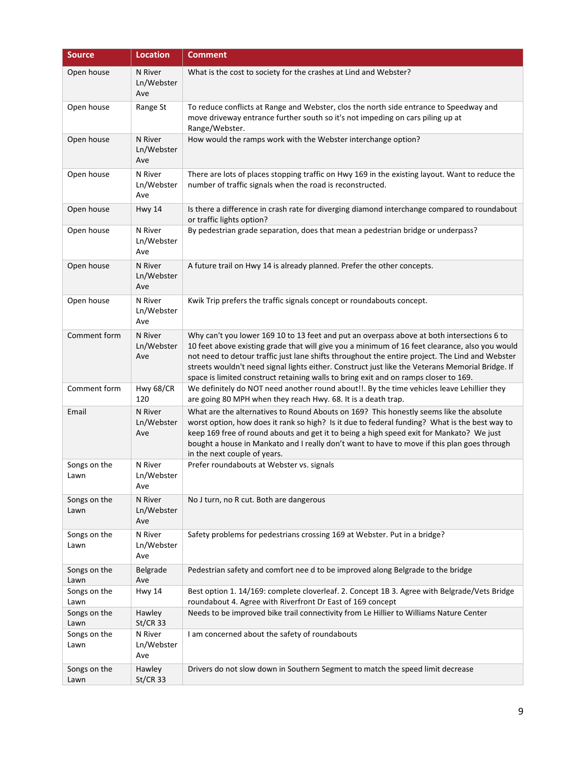| <b>Source</b>        | <b>Location</b>              | <b>Comment</b>                                                                                                                                                                                                                                                                                                                                                                                                                                                                              |
|----------------------|------------------------------|---------------------------------------------------------------------------------------------------------------------------------------------------------------------------------------------------------------------------------------------------------------------------------------------------------------------------------------------------------------------------------------------------------------------------------------------------------------------------------------------|
| Open house           | N River<br>Ln/Webster<br>Ave | What is the cost to society for the crashes at Lind and Webster?                                                                                                                                                                                                                                                                                                                                                                                                                            |
| Open house           | Range St                     | To reduce conflicts at Range and Webster, clos the north side entrance to Speedway and<br>move driveway entrance further south so it's not impeding on cars piling up at<br>Range/Webster.                                                                                                                                                                                                                                                                                                  |
| Open house           | N River<br>Ln/Webster<br>Ave | How would the ramps work with the Webster interchange option?                                                                                                                                                                                                                                                                                                                                                                                                                               |
| Open house           | N River<br>Ln/Webster<br>Ave | There are lots of places stopping traffic on Hwy 169 in the existing layout. Want to reduce the<br>number of traffic signals when the road is reconstructed.                                                                                                                                                                                                                                                                                                                                |
| Open house           | <b>Hwy 14</b>                | Is there a difference in crash rate for diverging diamond interchange compared to roundabout<br>or traffic lights option?                                                                                                                                                                                                                                                                                                                                                                   |
| Open house           | N River<br>Ln/Webster<br>Ave | By pedestrian grade separation, does that mean a pedestrian bridge or underpass?                                                                                                                                                                                                                                                                                                                                                                                                            |
| Open house           | N River<br>Ln/Webster<br>Ave | A future trail on Hwy 14 is already planned. Prefer the other concepts.                                                                                                                                                                                                                                                                                                                                                                                                                     |
| Open house           | N River<br>Ln/Webster<br>Ave | Kwik Trip prefers the traffic signals concept or roundabouts concept.                                                                                                                                                                                                                                                                                                                                                                                                                       |
| Comment form         | N River<br>Ln/Webster<br>Ave | Why can't you lower 169 10 to 13 feet and put an overpass above at both intersections 6 to<br>10 feet above existing grade that will give you a minimum of 16 feet clearance, also you would<br>not need to detour traffic just lane shifts throughout the entire project. The Lind and Webster<br>streets wouldn't need signal lights either. Construct just like the Veterans Memorial Bridge. If<br>space is limited construct retaining walls to bring exit and on ramps closer to 169. |
| Comment form         | Hwy 68/CR<br>120             | We definitely do NOT need another round about!!. By the time vehicles leave Lehillier they<br>are going 80 MPH when they reach Hwy. 68. It is a death trap.                                                                                                                                                                                                                                                                                                                                 |
| Email                | N River<br>Ln/Webster<br>Ave | What are the alternatives to Round Abouts on 169? This honestly seems like the absolute<br>worst option, how does it rank so high? Is it due to federal funding? What is the best way to<br>keep 169 free of round abouts and get it to being a high speed exit for Mankato? We just<br>bought a house in Mankato and I really don't want to have to move if this plan goes through<br>in the next couple of years.                                                                         |
| Songs on the<br>Lawn | N River<br>Ln/Webster<br>Ave | Prefer roundabouts at Webster vs. signals                                                                                                                                                                                                                                                                                                                                                                                                                                                   |
| Songs on the<br>Lawn | N River<br>Ln/Webster<br>Ave | No J turn, no R cut. Both are dangerous                                                                                                                                                                                                                                                                                                                                                                                                                                                     |
| Songs on the<br>Lawn | N River<br>Ln/Webster<br>Ave | Safety problems for pedestrians crossing 169 at Webster. Put in a bridge?                                                                                                                                                                                                                                                                                                                                                                                                                   |
| Songs on the<br>Lawn | Belgrade<br>Ave              | Pedestrian safety and comfort nee d to be improved along Belgrade to the bridge                                                                                                                                                                                                                                                                                                                                                                                                             |
| Songs on the<br>Lawn | <b>Hwy 14</b>                | Best option 1. 14/169: complete cloverleaf. 2. Concept 1B 3. Agree with Belgrade/Vets Bridge<br>roundabout 4. Agree with Riverfront Dr East of 169 concept                                                                                                                                                                                                                                                                                                                                  |
| Songs on the<br>Lawn | Hawley<br>$St/CR$ 33         | Needs to be improved bike trail connectivity from Le Hillier to Williams Nature Center                                                                                                                                                                                                                                                                                                                                                                                                      |
| Songs on the<br>Lawn | N River<br>Ln/Webster<br>Ave | I am concerned about the safety of roundabouts                                                                                                                                                                                                                                                                                                                                                                                                                                              |
| Songs on the<br>Lawn | Hawley<br><b>St/CR 33</b>    | Drivers do not slow down in Southern Segment to match the speed limit decrease                                                                                                                                                                                                                                                                                                                                                                                                              |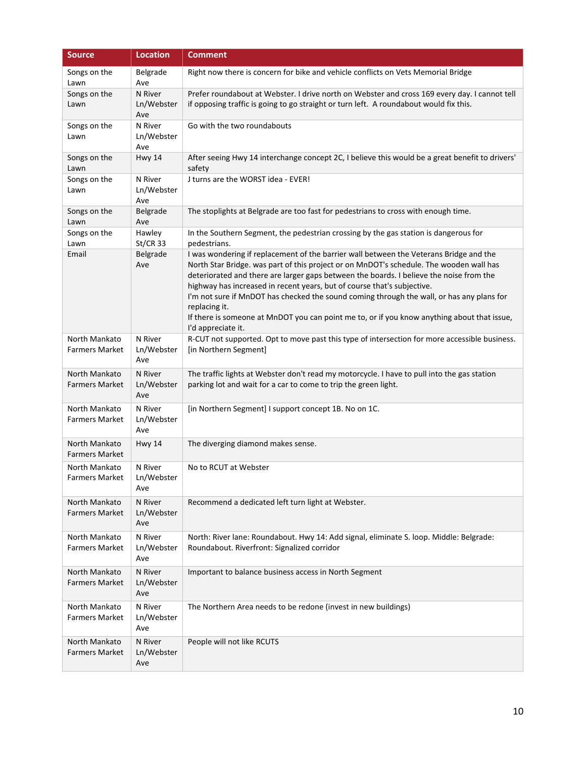| <b>Source</b>                          | <b>Location</b>              | <b>Comment</b>                                                                                                                                                                                                                                                                                                                                                                                                                                                                                                                                                                             |
|----------------------------------------|------------------------------|--------------------------------------------------------------------------------------------------------------------------------------------------------------------------------------------------------------------------------------------------------------------------------------------------------------------------------------------------------------------------------------------------------------------------------------------------------------------------------------------------------------------------------------------------------------------------------------------|
| Songs on the<br>Lawn                   | Belgrade<br>Ave              | Right now there is concern for bike and vehicle conflicts on Vets Memorial Bridge                                                                                                                                                                                                                                                                                                                                                                                                                                                                                                          |
| Songs on the<br>Lawn                   | N River<br>Ln/Webster<br>Ave | Prefer roundabout at Webster. I drive north on Webster and cross 169 every day. I cannot tell<br>if opposing traffic is going to go straight or turn left. A roundabout would fix this.                                                                                                                                                                                                                                                                                                                                                                                                    |
| Songs on the<br>Lawn                   | N River<br>Ln/Webster<br>Ave | Go with the two roundabouts                                                                                                                                                                                                                                                                                                                                                                                                                                                                                                                                                                |
| Songs on the<br>Lawn                   | Hwy 14                       | After seeing Hwy 14 interchange concept 2C, I believe this would be a great benefit to drivers'<br>safety                                                                                                                                                                                                                                                                                                                                                                                                                                                                                  |
| Songs on the<br>Lawn                   | N River<br>Ln/Webster<br>Ave | J turns are the WORST idea - EVER!                                                                                                                                                                                                                                                                                                                                                                                                                                                                                                                                                         |
| Songs on the<br>Lawn                   | Belgrade<br>Ave              | The stoplights at Belgrade are too fast for pedestrians to cross with enough time.                                                                                                                                                                                                                                                                                                                                                                                                                                                                                                         |
| Songs on the<br>Lawn                   | Hawley<br>$St/CR$ 33         | In the Southern Segment, the pedestrian crossing by the gas station is dangerous for<br>pedestrians.                                                                                                                                                                                                                                                                                                                                                                                                                                                                                       |
| Email                                  | Belgrade<br>Ave              | I was wondering if replacement of the barrier wall between the Veterans Bridge and the<br>North Star Bridge. was part of this project or on MnDOT's schedule. The wooden wall has<br>deteriorated and there are larger gaps between the boards. I believe the noise from the<br>highway has increased in recent years, but of course that's subjective.<br>I'm not sure if MnDOT has checked the sound coming through the wall, or has any plans for<br>replacing it.<br>If there is someone at MnDOT you can point me to, or if you know anything about that issue,<br>I'd appreciate it. |
| North Mankato<br><b>Farmers Market</b> | N River<br>Ln/Webster<br>Ave | R-CUT not supported. Opt to move past this type of intersection for more accessible business.<br>[in Northern Segment]                                                                                                                                                                                                                                                                                                                                                                                                                                                                     |
| North Mankato<br><b>Farmers Market</b> | N River<br>Ln/Webster<br>Ave | The traffic lights at Webster don't read my motorcycle. I have to pull into the gas station<br>parking lot and wait for a car to come to trip the green light.                                                                                                                                                                                                                                                                                                                                                                                                                             |
| North Mankato<br><b>Farmers Market</b> | N River<br>Ln/Webster<br>Ave | [in Northern Segment] I support concept 1B. No on 1C.                                                                                                                                                                                                                                                                                                                                                                                                                                                                                                                                      |
| North Mankato<br><b>Farmers Market</b> | <b>Hwy 14</b>                | The diverging diamond makes sense.                                                                                                                                                                                                                                                                                                                                                                                                                                                                                                                                                         |
| North Mankato<br><b>Farmers Market</b> | N River<br>Ln/Webster<br>Ave | No to RCUT at Webster                                                                                                                                                                                                                                                                                                                                                                                                                                                                                                                                                                      |
| North Mankato<br><b>Farmers Market</b> | N River<br>Ln/Webster<br>Ave | Recommend a dedicated left turn light at Webster.                                                                                                                                                                                                                                                                                                                                                                                                                                                                                                                                          |
| North Mankato<br><b>Farmers Market</b> | N River<br>Ln/Webster<br>Ave | North: River lane: Roundabout. Hwy 14: Add signal, eliminate S. loop. Middle: Belgrade:<br>Roundabout. Riverfront: Signalized corridor                                                                                                                                                                                                                                                                                                                                                                                                                                                     |
| North Mankato<br><b>Farmers Market</b> | N River<br>Ln/Webster<br>Ave | Important to balance business access in North Segment                                                                                                                                                                                                                                                                                                                                                                                                                                                                                                                                      |
| North Mankato<br><b>Farmers Market</b> | N River<br>Ln/Webster<br>Ave | The Northern Area needs to be redone (invest in new buildings)                                                                                                                                                                                                                                                                                                                                                                                                                                                                                                                             |
| North Mankato<br><b>Farmers Market</b> | N River<br>Ln/Webster<br>Ave | People will not like RCUTS                                                                                                                                                                                                                                                                                                                                                                                                                                                                                                                                                                 |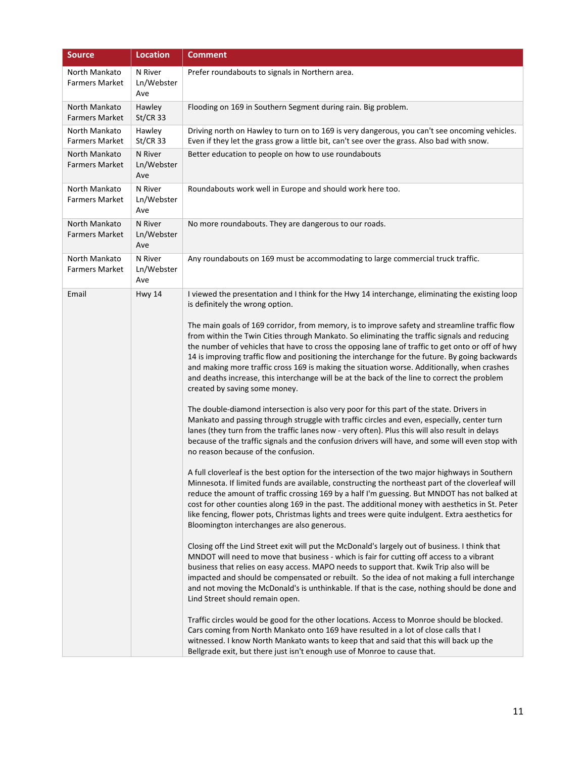| <b>Source</b>                          | <b>Location</b>              | <b>Comment</b>                                                                                                                                                                                                                                                                                                                                                                                                                                                                                                                                                                                                                                                                                                                                                                                                                                                                                                                                                                                                                                                                                                                                                                                                                                                                                                                                                                                                                                                                                                                                                                                                                                                                                                                                                                                                                                                                                                                                                                                                                                                                                                                                                                                                                                                                                                   |
|----------------------------------------|------------------------------|------------------------------------------------------------------------------------------------------------------------------------------------------------------------------------------------------------------------------------------------------------------------------------------------------------------------------------------------------------------------------------------------------------------------------------------------------------------------------------------------------------------------------------------------------------------------------------------------------------------------------------------------------------------------------------------------------------------------------------------------------------------------------------------------------------------------------------------------------------------------------------------------------------------------------------------------------------------------------------------------------------------------------------------------------------------------------------------------------------------------------------------------------------------------------------------------------------------------------------------------------------------------------------------------------------------------------------------------------------------------------------------------------------------------------------------------------------------------------------------------------------------------------------------------------------------------------------------------------------------------------------------------------------------------------------------------------------------------------------------------------------------------------------------------------------------------------------------------------------------------------------------------------------------------------------------------------------------------------------------------------------------------------------------------------------------------------------------------------------------------------------------------------------------------------------------------------------------------------------------------------------------------------------------------------------------|
| North Mankato<br><b>Farmers Market</b> | N River<br>Ln/Webster<br>Ave | Prefer roundabouts to signals in Northern area.                                                                                                                                                                                                                                                                                                                                                                                                                                                                                                                                                                                                                                                                                                                                                                                                                                                                                                                                                                                                                                                                                                                                                                                                                                                                                                                                                                                                                                                                                                                                                                                                                                                                                                                                                                                                                                                                                                                                                                                                                                                                                                                                                                                                                                                                  |
| North Mankato<br><b>Farmers Market</b> | Hawley<br><b>St/CR 33</b>    | Flooding on 169 in Southern Segment during rain. Big problem.                                                                                                                                                                                                                                                                                                                                                                                                                                                                                                                                                                                                                                                                                                                                                                                                                                                                                                                                                                                                                                                                                                                                                                                                                                                                                                                                                                                                                                                                                                                                                                                                                                                                                                                                                                                                                                                                                                                                                                                                                                                                                                                                                                                                                                                    |
| North Mankato<br><b>Farmers Market</b> | Hawley<br>$St/CR$ 33         | Driving north on Hawley to turn on to 169 is very dangerous, you can't see oncoming vehicles.<br>Even if they let the grass grow a little bit, can't see over the grass. Also bad with snow.                                                                                                                                                                                                                                                                                                                                                                                                                                                                                                                                                                                                                                                                                                                                                                                                                                                                                                                                                                                                                                                                                                                                                                                                                                                                                                                                                                                                                                                                                                                                                                                                                                                                                                                                                                                                                                                                                                                                                                                                                                                                                                                     |
| North Mankato<br><b>Farmers Market</b> | N River<br>Ln/Webster<br>Ave | Better education to people on how to use roundabouts                                                                                                                                                                                                                                                                                                                                                                                                                                                                                                                                                                                                                                                                                                                                                                                                                                                                                                                                                                                                                                                                                                                                                                                                                                                                                                                                                                                                                                                                                                                                                                                                                                                                                                                                                                                                                                                                                                                                                                                                                                                                                                                                                                                                                                                             |
| North Mankato<br><b>Farmers Market</b> | N River<br>Ln/Webster<br>Ave | Roundabouts work well in Europe and should work here too.                                                                                                                                                                                                                                                                                                                                                                                                                                                                                                                                                                                                                                                                                                                                                                                                                                                                                                                                                                                                                                                                                                                                                                                                                                                                                                                                                                                                                                                                                                                                                                                                                                                                                                                                                                                                                                                                                                                                                                                                                                                                                                                                                                                                                                                        |
| North Mankato<br><b>Farmers Market</b> | N River<br>Ln/Webster<br>Ave | No more roundabouts. They are dangerous to our roads.                                                                                                                                                                                                                                                                                                                                                                                                                                                                                                                                                                                                                                                                                                                                                                                                                                                                                                                                                                                                                                                                                                                                                                                                                                                                                                                                                                                                                                                                                                                                                                                                                                                                                                                                                                                                                                                                                                                                                                                                                                                                                                                                                                                                                                                            |
| North Mankato<br><b>Farmers Market</b> | N River<br>Ln/Webster<br>Ave | Any roundabouts on 169 must be accommodating to large commercial truck traffic.                                                                                                                                                                                                                                                                                                                                                                                                                                                                                                                                                                                                                                                                                                                                                                                                                                                                                                                                                                                                                                                                                                                                                                                                                                                                                                                                                                                                                                                                                                                                                                                                                                                                                                                                                                                                                                                                                                                                                                                                                                                                                                                                                                                                                                  |
| Email                                  | <b>Hwy 14</b>                | I viewed the presentation and I think for the Hwy 14 interchange, eliminating the existing loop<br>is definitely the wrong option.<br>The main goals of 169 corridor, from memory, is to improve safety and streamline traffic flow<br>from within the Twin Cities through Mankato. So eliminating the traffic signals and reducing<br>the number of vehicles that have to cross the opposing lane of traffic to get onto or off of hwy<br>14 is improving traffic flow and positioning the interchange for the future. By going backwards<br>and making more traffic cross 169 is making the situation worse. Additionally, when crashes<br>and deaths increase, this interchange will be at the back of the line to correct the problem<br>created by saving some money.<br>The double-diamond intersection is also very poor for this part of the state. Drivers in<br>Mankato and passing through struggle with traffic circles and even, especially, center turn<br>lanes (they turn from the traffic lanes now - very often). Plus this will also result in delays<br>because of the traffic signals and the confusion drivers will have, and some will even stop with<br>no reason because of the confusion.<br>A full cloverleaf is the best option for the intersection of the two major highways in Southern<br>Minnesota. If limited funds are available, constructing the northeast part of the cloverleaf will<br>reduce the amount of traffic crossing 169 by a half I'm guessing. But MNDOT has not balked at<br>cost for other counties along 169 in the past. The additional money with aesthetics in St. Peter<br>like fencing, flower pots, Christmas lights and trees were quite indulgent. Extra aesthetics for<br>Bloomington interchanges are also generous.<br>Closing off the Lind Street exit will put the McDonald's largely out of business. I think that<br>MNDOT will need to move that business - which is fair for cutting off access to a vibrant<br>business that relies on easy access. MAPO needs to support that. Kwik Trip also will be<br>impacted and should be compensated or rebuilt. So the idea of not making a full interchange<br>and not moving the McDonald's is unthinkable. If that is the case, nothing should be done and<br>Lind Street should remain open. |
|                                        |                              | Traffic circles would be good for the other locations. Access to Monroe should be blocked.<br>Cars coming from North Mankato onto 169 have resulted in a lot of close calls that I<br>witnessed. I know North Mankato wants to keep that and said that this will back up the<br>Bellgrade exit, but there just isn't enough use of Monroe to cause that.                                                                                                                                                                                                                                                                                                                                                                                                                                                                                                                                                                                                                                                                                                                                                                                                                                                                                                                                                                                                                                                                                                                                                                                                                                                                                                                                                                                                                                                                                                                                                                                                                                                                                                                                                                                                                                                                                                                                                         |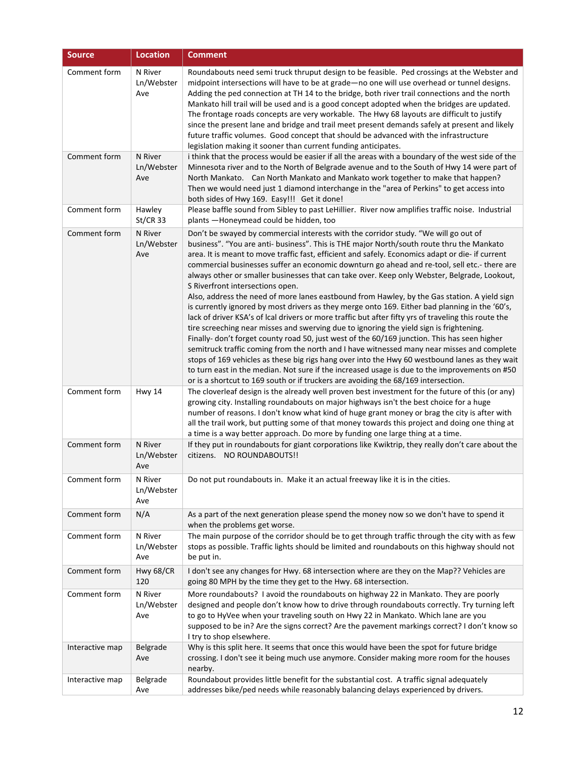| <b>Source</b>   | <b>Location</b>              | <b>Comment</b>                                                                                                                                                                                                                                                                                                                                                                                                                                                                                                                                                                                                                                                                                                                                                                                                                                                                                                                                                                                                                                                                                                                                                                                                                                                                                                                                                                                                       |
|-----------------|------------------------------|----------------------------------------------------------------------------------------------------------------------------------------------------------------------------------------------------------------------------------------------------------------------------------------------------------------------------------------------------------------------------------------------------------------------------------------------------------------------------------------------------------------------------------------------------------------------------------------------------------------------------------------------------------------------------------------------------------------------------------------------------------------------------------------------------------------------------------------------------------------------------------------------------------------------------------------------------------------------------------------------------------------------------------------------------------------------------------------------------------------------------------------------------------------------------------------------------------------------------------------------------------------------------------------------------------------------------------------------------------------------------------------------------------------------|
| Comment form    | N River<br>Ln/Webster<br>Ave | Roundabouts need semi truck thruput design to be feasible. Ped crossings at the Webster and<br>midpoint intersections will have to be at grade-no one will use overhead or tunnel designs.<br>Adding the ped connection at TH 14 to the bridge, both river trail connections and the north<br>Mankato hill trail will be used and is a good concept adopted when the bridges are updated.<br>The frontage roads concepts are very workable. The Hwy 68 layouts are difficult to justify<br>since the present lane and bridge and trail meet present demands safely at present and likely<br>future traffic volumes. Good concept that should be advanced with the infrastructure<br>legislation making it sooner than current funding anticipates.                                                                                                                                                                                                                                                                                                                                                                                                                                                                                                                                                                                                                                                                   |
| Comment form    | N River<br>Ln/Webster<br>Ave | i think that the process would be easier if all the areas with a boundary of the west side of the<br>Minnesota river and to the North of Belgrade avenue and to the South of Hwy 14 were part of<br>North Mankato. Can North Mankato and Mankato work together to make that happen?<br>Then we would need just 1 diamond interchange in the "area of Perkins" to get access into<br>both sides of Hwy 169. Easy!!! Get it done!                                                                                                                                                                                                                                                                                                                                                                                                                                                                                                                                                                                                                                                                                                                                                                                                                                                                                                                                                                                      |
| Comment form    | Hawley<br><b>St/CR 33</b>    | Please baffle sound from Sibley to past LeHillier. River now amplifies traffic noise. Industrial<br>plants -Honeymead could be hidden, too                                                                                                                                                                                                                                                                                                                                                                                                                                                                                                                                                                                                                                                                                                                                                                                                                                                                                                                                                                                                                                                                                                                                                                                                                                                                           |
| Comment form    | N River<br>Ln/Webster<br>Ave | Don't be swayed by commercial interests with the corridor study. "We will go out of<br>business". "You are anti- business". This is THE major North/south route thru the Mankato<br>area. It is meant to move traffic fast, efficient and safely. Economics adapt or die- if current<br>commercial businesses suffer an economic downturn go ahead and re-tool, sell etc.- there are<br>always other or smaller businesses that can take over. Keep only Webster, Belgrade, Lookout,<br>S Riverfront intersections open.<br>Also, address the need of more lanes eastbound from Hawley, by the Gas station. A yield sign<br>is currently ignored by most drivers as they merge onto 169. Either bad planning in the '60's,<br>lack of driver KSA's of Ical drivers or more traffic but after fifty yrs of traveling this route the<br>tire screeching near misses and swerving due to ignoring the yield sign is frightening.<br>Finally- don't forget county road 50, just west of the 60/169 junction. This has seen higher<br>semitruck traffic coming from the north and I have witnessed many near misses and complete<br>stops of 169 vehicles as these big rigs hang over into the Hwy 60 westbound lanes as they wait<br>to turn east in the median. Not sure if the increased usage is due to the improvements on #50<br>or is a shortcut to 169 south or if truckers are avoiding the 68/169 intersection. |
| Comment form    | Hwy 14                       | The cloverleaf design is the already well proven best investment for the future of this (or any)<br>growing city. Installing roundabouts on major highways isn't the best choice for a huge<br>number of reasons. I don't know what kind of huge grant money or brag the city is after with<br>all the trail work, but putting some of that money towards this project and doing one thing at<br>a time is a way better approach. Do more by funding one large thing at a time.                                                                                                                                                                                                                                                                                                                                                                                                                                                                                                                                                                                                                                                                                                                                                                                                                                                                                                                                      |
| Comment form    | N River<br>Ln/Webster<br>Ave | If they put in roundabouts for giant corporations like Kwiktrip, they really don't care about the<br>citizens. NO ROUNDABOUTS!!                                                                                                                                                                                                                                                                                                                                                                                                                                                                                                                                                                                                                                                                                                                                                                                                                                                                                                                                                                                                                                                                                                                                                                                                                                                                                      |
| Comment form    | N River<br>Ln/Webster<br>Ave | Do not put roundabouts in. Make it an actual freeway like it is in the cities.                                                                                                                                                                                                                                                                                                                                                                                                                                                                                                                                                                                                                                                                                                                                                                                                                                                                                                                                                                                                                                                                                                                                                                                                                                                                                                                                       |
| Comment form    | N/A                          | As a part of the next generation please spend the money now so we don't have to spend it<br>when the problems get worse.                                                                                                                                                                                                                                                                                                                                                                                                                                                                                                                                                                                                                                                                                                                                                                                                                                                                                                                                                                                                                                                                                                                                                                                                                                                                                             |
| Comment form    | N River<br>Ln/Webster<br>Ave | The main purpose of the corridor should be to get through traffic through the city with as few<br>stops as possible. Traffic lights should be limited and roundabouts on this highway should not<br>be put in.                                                                                                                                                                                                                                                                                                                                                                                                                                                                                                                                                                                                                                                                                                                                                                                                                                                                                                                                                                                                                                                                                                                                                                                                       |
| Comment form    | Hwy 68/CR<br>120             | I don't see any changes for Hwy. 68 intersection where are they on the Map?? Vehicles are<br>going 80 MPH by the time they get to the Hwy. 68 intersection.                                                                                                                                                                                                                                                                                                                                                                                                                                                                                                                                                                                                                                                                                                                                                                                                                                                                                                                                                                                                                                                                                                                                                                                                                                                          |
| Comment form    | N River<br>Ln/Webster<br>Ave | More roundabouts? I avoid the roundabouts on highway 22 in Mankato. They are poorly<br>designed and people don't know how to drive through roundabouts correctly. Try turning left<br>to go to HyVee when your traveling south on Hwy 22 in Mankato. Which lane are you<br>supposed to be in? Are the signs correct? Are the pavement markings correct? I don't know so<br>I try to shop elsewhere.                                                                                                                                                                                                                                                                                                                                                                                                                                                                                                                                                                                                                                                                                                                                                                                                                                                                                                                                                                                                                  |
| Interactive map | Belgrade<br>Ave              | Why is this split here. It seems that once this would have been the spot for future bridge<br>crossing. I don't see it being much use anymore. Consider making more room for the houses<br>nearby.                                                                                                                                                                                                                                                                                                                                                                                                                                                                                                                                                                                                                                                                                                                                                                                                                                                                                                                                                                                                                                                                                                                                                                                                                   |
| Interactive map | Belgrade<br>Ave              | Roundabout provides little benefit for the substantial cost. A traffic signal adequately<br>addresses bike/ped needs while reasonably balancing delays experienced by drivers.                                                                                                                                                                                                                                                                                                                                                                                                                                                                                                                                                                                                                                                                                                                                                                                                                                                                                                                                                                                                                                                                                                                                                                                                                                       |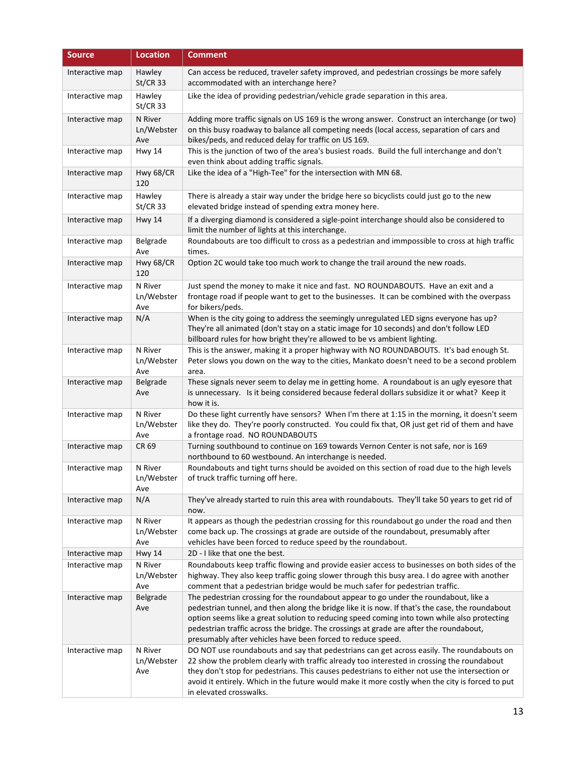| <b>Source</b>   | <b>Location</b>              | <b>Comment</b>                                                                                                                                                                                                                                                                                                                                                                                                                                  |
|-----------------|------------------------------|-------------------------------------------------------------------------------------------------------------------------------------------------------------------------------------------------------------------------------------------------------------------------------------------------------------------------------------------------------------------------------------------------------------------------------------------------|
| Interactive map | Hawley<br><b>St/CR 33</b>    | Can access be reduced, traveler safety improved, and pedestrian crossings be more safely<br>accommodated with an interchange here?                                                                                                                                                                                                                                                                                                              |
| Interactive map | Hawley<br><b>St/CR 33</b>    | Like the idea of providing pedestrian/vehicle grade separation in this area.                                                                                                                                                                                                                                                                                                                                                                    |
| Interactive map | N River<br>Ln/Webster<br>Ave | Adding more traffic signals on US 169 is the wrong answer. Construct an interchange (or two)<br>on this busy roadway to balance all competing needs (local access, separation of cars and<br>bikes/peds, and reduced delay for traffic on US 169.                                                                                                                                                                                               |
| Interactive map | <b>Hwy 14</b>                | This is the junction of two of the area's busiest roads. Build the full interchange and don't<br>even think about adding traffic signals.                                                                                                                                                                                                                                                                                                       |
| Interactive map | Hwy 68/CR<br>120             | Like the idea of a "High-Tee" for the intersection with MN 68.                                                                                                                                                                                                                                                                                                                                                                                  |
| Interactive map | Hawley<br>$St/CR$ 33         | There is already a stair way under the bridge here so bicyclists could just go to the new<br>elevated bridge instead of spending extra money here.                                                                                                                                                                                                                                                                                              |
| Interactive map | <b>Hwy 14</b>                | If a diverging diamond is considered a sigle-point interchange should also be considered to<br>limit the number of lights at this interchange.                                                                                                                                                                                                                                                                                                  |
| Interactive map | Belgrade<br>Ave              | Roundabouts are too difficult to cross as a pedestrian and immpossible to cross at high traffic<br>times.                                                                                                                                                                                                                                                                                                                                       |
| Interactive map | Hwy 68/CR<br>120             | Option 2C would take too much work to change the trail around the new roads.                                                                                                                                                                                                                                                                                                                                                                    |
| Interactive map | N River<br>Ln/Webster<br>Ave | Just spend the money to make it nice and fast. NO ROUNDABOUTS. Have an exit and a<br>frontage road if people want to get to the businesses. It can be combined with the overpass<br>for bikers/peds.                                                                                                                                                                                                                                            |
| Interactive map | N/A                          | When is the city going to address the seemingly unregulated LED signs everyone has up?<br>They're all animated (don't stay on a static image for 10 seconds) and don't follow LED<br>billboard rules for how bright they're allowed to be vs ambient lighting.                                                                                                                                                                                  |
| Interactive map | N River<br>Ln/Webster<br>Ave | This is the answer, making it a proper highway with NO ROUNDABOUTS. It's bad enough St.<br>Peter slows you down on the way to the cities, Mankato doesn't need to be a second problem<br>area.                                                                                                                                                                                                                                                  |
| Interactive map | Belgrade<br>Ave              | These signals never seem to delay me in getting home. A roundabout is an ugly eyesore that<br>is unnecessary. Is it being considered because federal dollars subsidize it or what? Keep it<br>how it is.                                                                                                                                                                                                                                        |
| Interactive map | N River<br>Ln/Webster<br>Ave | Do these light currently have sensors? When I'm there at 1:15 in the morning, it doesn't seem<br>like they do. They're poorly constructed. You could fix that, OR just get rid of them and have<br>a frontage road. NO ROUNDABOUTS                                                                                                                                                                                                              |
| Interactive map | CR 69                        | Turning southbound to continue on 169 towards Vernon Center is not safe, nor is 169<br>northbound to 60 westbound. An interchange is needed.                                                                                                                                                                                                                                                                                                    |
| Interactive map | N River<br>Ln/Webster<br>Ave | Roundabouts and tight turns should be avoided on this section of road due to the high levels<br>of truck traffic turning off here.                                                                                                                                                                                                                                                                                                              |
| Interactive map | N/A                          | They've already started to ruin this area with roundabouts. They'll take 50 years to get rid of<br>now.                                                                                                                                                                                                                                                                                                                                         |
| Interactive map | N River<br>Ln/Webster<br>Ave | It appears as though the pedestrian crossing for this roundabout go under the road and then<br>come back up. The crossings at grade are outside of the roundabout, presumably after<br>vehicles have been forced to reduce speed by the roundabout.                                                                                                                                                                                             |
| Interactive map | <b>Hwy 14</b>                | 2D - I like that one the best.                                                                                                                                                                                                                                                                                                                                                                                                                  |
| Interactive map | N River<br>Ln/Webster<br>Ave | Roundabouts keep traffic flowing and provide easier access to businesses on both sides of the<br>highway. They also keep traffic going slower through this busy area. I do agree with another<br>comment that a pedestrian bridge would be much safer for pedestrian traffic.                                                                                                                                                                   |
| Interactive map | Belgrade<br>Ave              | The pedestrian crossing for the roundabout appear to go under the roundabout, like a<br>pedestrian tunnel, and then along the bridge like it is now. If that's the case, the roundabout<br>option seems like a great solution to reducing speed coming into town while also protecting<br>pedestrian traffic across the bridge. The crossings at grade are after the roundabout,<br>presumably after vehicles have been forced to reduce speed. |
| Interactive map | N River<br>Ln/Webster<br>Ave | DO NOT use roundabouts and say that pedestrians can get across easily. The roundabouts on<br>22 show the problem clearly with traffic already too interested in crossing the roundabout<br>they don't stop for pedestrians. This causes pedestrians to either not use the intersection or<br>avoid it entirely. Which in the future would make it more costly when the city is forced to put<br>in elevated crosswalks.                         |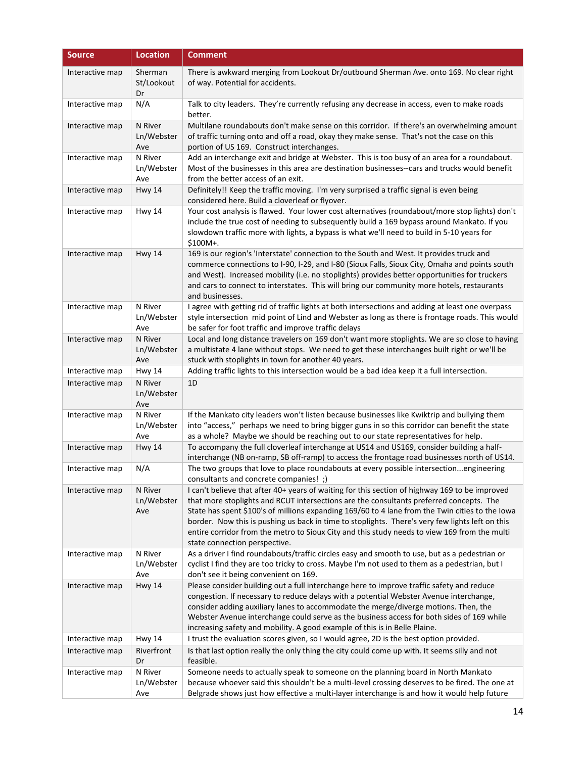| <b>Source</b>   | <b>Location</b>              | <b>Comment</b>                                                                                                                                                                                                                                                                                                                                                                                                                                                                                                                   |
|-----------------|------------------------------|----------------------------------------------------------------------------------------------------------------------------------------------------------------------------------------------------------------------------------------------------------------------------------------------------------------------------------------------------------------------------------------------------------------------------------------------------------------------------------------------------------------------------------|
| Interactive map | Sherman<br>St/Lookout<br>Dr  | There is awkward merging from Lookout Dr/outbound Sherman Ave. onto 169. No clear right<br>of way. Potential for accidents.                                                                                                                                                                                                                                                                                                                                                                                                      |
| Interactive map | N/A                          | Talk to city leaders. They're currently refusing any decrease in access, even to make roads<br>better.                                                                                                                                                                                                                                                                                                                                                                                                                           |
| Interactive map | N River<br>Ln/Webster<br>Ave | Multilane roundabouts don't make sense on this corridor. If there's an overwhelming amount<br>of traffic turning onto and off a road, okay they make sense. That's not the case on this<br>portion of US 169. Construct interchanges.                                                                                                                                                                                                                                                                                            |
| Interactive map | N River<br>Ln/Webster<br>Ave | Add an interchange exit and bridge at Webster. This is too busy of an area for a roundabout.<br>Most of the businesses in this area are destination businesses--cars and trucks would benefit<br>from the better access of an exit.                                                                                                                                                                                                                                                                                              |
| Interactive map | <b>Hwy 14</b>                | Definitely!! Keep the traffic moving. I'm very surprised a traffic signal is even being<br>considered here. Build a cloverleaf or flyover.                                                                                                                                                                                                                                                                                                                                                                                       |
| Interactive map | Hwy 14                       | Your cost analysis is flawed. Your lower cost alternatives (roundabout/more stop lights) don't<br>include the true cost of needing to subsequently build a 169 bypass around Mankato. If you<br>slowdown traffic more with lights, a bypass is what we'll need to build in 5-10 years for<br>$$100M+$ .                                                                                                                                                                                                                          |
| Interactive map | <b>Hwy 14</b>                | 169 is our region's 'Interstate' connection to the South and West. It provides truck and<br>commerce connections to I-90, I-29, and I-80 (Sioux Falls, Sioux City, Omaha and points south<br>and West). Increased mobility (i.e. no stoplights) provides better opportunities for truckers<br>and cars to connect to interstates. This will bring our community more hotels, restaurants<br>and businesses.                                                                                                                      |
| Interactive map | N River<br>Ln/Webster<br>Ave | I agree with getting rid of traffic lights at both intersections and adding at least one overpass<br>style intersection mid point of Lind and Webster as long as there is frontage roads. This would<br>be safer for foot traffic and improve traffic delays                                                                                                                                                                                                                                                                     |
| Interactive map | N River<br>Ln/Webster<br>Ave | Local and long distance travelers on 169 don't want more stoplights. We are so close to having<br>a multistate 4 lane without stops. We need to get these interchanges built right or we'll be<br>stuck with stoplights in town for another 40 years.                                                                                                                                                                                                                                                                            |
| Interactive map | <b>Hwy 14</b>                | Adding traffic lights to this intersection would be a bad idea keep it a full intersection.                                                                                                                                                                                                                                                                                                                                                                                                                                      |
| Interactive map | N River<br>Ln/Webster<br>Ave | 1D                                                                                                                                                                                                                                                                                                                                                                                                                                                                                                                               |
| Interactive map | N River<br>Ln/Webster<br>Ave | If the Mankato city leaders won't listen because businesses like Kwiktrip and bullying them<br>into "access," perhaps we need to bring bigger guns in so this corridor can benefit the state<br>as a whole? Maybe we should be reaching out to our state representatives for help.                                                                                                                                                                                                                                               |
| Interactive map | <b>Hwy 14</b>                | To accompany the full cloverleaf interchange at US14 and US169, consider building a half-<br>interchange (NB on-ramp, SB off-ramp) to access the frontage road businesses north of US14.                                                                                                                                                                                                                                                                                                                                         |
| Interactive map | N/A                          | The two groups that love to place roundabouts at every possible intersectionengineering<br>consultants and concrete companies!;)                                                                                                                                                                                                                                                                                                                                                                                                 |
| Interactive map | N River<br>Ln/Webster<br>Ave | I can't believe that after 40+ years of waiting for this section of highway 169 to be improved<br>that more stoplights and RCUT intersections are the consultants preferred concepts. The<br>State has spent \$100's of millions expanding 169/60 to 4 lane from the Twin cities to the lowa<br>border. Now this is pushing us back in time to stoplights. There's very few lights left on this<br>entire corridor from the metro to Sioux City and this study needs to view 169 from the multi<br>state connection perspective. |
| Interactive map | N River<br>Ln/Webster<br>Ave | As a driver I find roundabouts/traffic circles easy and smooth to use, but as a pedestrian or<br>cyclist I find they are too tricky to cross. Maybe I'm not used to them as a pedestrian, but I<br>don't see it being convenient on 169.                                                                                                                                                                                                                                                                                         |
| Interactive map | Hwy 14                       | Please consider building out a full interchange here to improve traffic safety and reduce<br>congestion. If necessary to reduce delays with a potential Webster Avenue interchange,<br>consider adding auxiliary lanes to accommodate the merge/diverge motions. Then, the<br>Webster Avenue interchange could serve as the business access for both sides of 169 while<br>increasing safety and mobility. A good example of this is in Belle Plaine.                                                                            |
| Interactive map | <b>Hwy 14</b>                | I trust the evaluation scores given, so I would agree, 2D is the best option provided.                                                                                                                                                                                                                                                                                                                                                                                                                                           |
| Interactive map | Riverfront<br>Dr             | Is that last option really the only thing the city could come up with. It seems silly and not<br>feasible.                                                                                                                                                                                                                                                                                                                                                                                                                       |
| Interactive map | N River<br>Ln/Webster<br>Ave | Someone needs to actually speak to someone on the planning board in North Mankato<br>because whoever said this shouldn't be a multi-level crossing deserves to be fired. The one at<br>Belgrade shows just how effective a multi-layer interchange is and how it would help future                                                                                                                                                                                                                                               |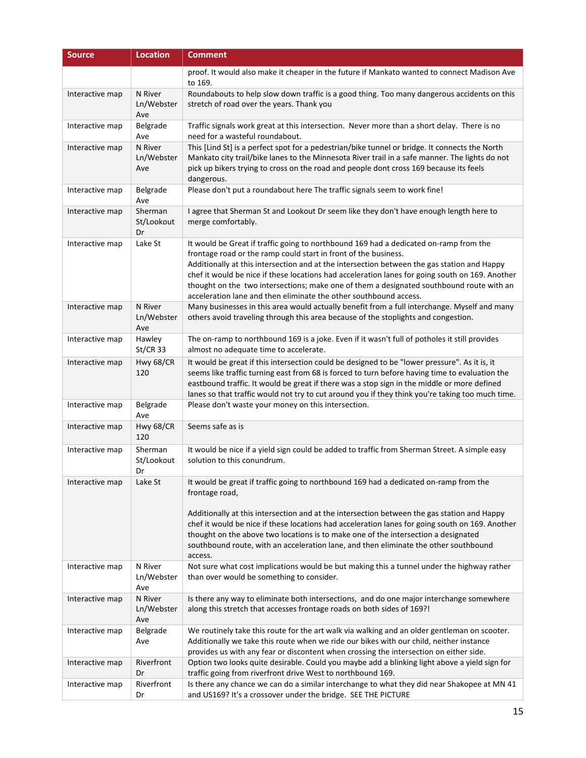| <b>Source</b>   | <b>Location</b>              | <b>Comment</b>                                                                                                                                                                                                                                                                                                                                                                                                                                                                                                              |
|-----------------|------------------------------|-----------------------------------------------------------------------------------------------------------------------------------------------------------------------------------------------------------------------------------------------------------------------------------------------------------------------------------------------------------------------------------------------------------------------------------------------------------------------------------------------------------------------------|
|                 |                              | proof. It would also make it cheaper in the future if Mankato wanted to connect Madison Ave<br>to 169.                                                                                                                                                                                                                                                                                                                                                                                                                      |
| Interactive map | N River<br>Ln/Webster<br>Ave | Roundabouts to help slow down traffic is a good thing. Too many dangerous accidents on this<br>stretch of road over the years. Thank you                                                                                                                                                                                                                                                                                                                                                                                    |
| Interactive map | Belgrade<br>Ave              | Traffic signals work great at this intersection. Never more than a short delay. There is no<br>need for a wasteful roundabout.                                                                                                                                                                                                                                                                                                                                                                                              |
| Interactive map | N River<br>Ln/Webster<br>Ave | This [Lind St] is a perfect spot for a pedestrian/bike tunnel or bridge. It connects the North<br>Mankato city trail/bike lanes to the Minnesota River trail in a safe manner. The lights do not<br>pick up bikers trying to cross on the road and people dont cross 169 because its feels<br>dangerous.                                                                                                                                                                                                                    |
| Interactive map | Belgrade<br>Ave              | Please don't put a roundabout here The traffic signals seem to work fine!                                                                                                                                                                                                                                                                                                                                                                                                                                                   |
| Interactive map | Sherman<br>St/Lookout<br>Dr  | I agree that Sherman St and Lookout Dr seem like they don't have enough length here to<br>merge comfortably.                                                                                                                                                                                                                                                                                                                                                                                                                |
| Interactive map | Lake St                      | It would be Great if traffic going to northbound 169 had a dedicated on-ramp from the<br>frontage road or the ramp could start in front of the business.<br>Additionally at this intersection and at the intersection between the gas station and Happy<br>chef it would be nice if these locations had acceleration lanes for going south on 169. Another<br>thought on the two intersections; make one of them a designated southbound route with an<br>acceleration lane and then eliminate the other southbound access. |
| Interactive map | N River<br>Ln/Webster<br>Ave | Many businesses in this area would actually benefit from a full interchange. Myself and many<br>others avoid traveling through this area because of the stoplights and congestion.                                                                                                                                                                                                                                                                                                                                          |
| Interactive map | Hawley<br><b>St/CR 33</b>    | The on-ramp to northbound 169 is a joke. Even if it wasn't full of potholes it still provides<br>almost no adequate time to accelerate.                                                                                                                                                                                                                                                                                                                                                                                     |
| Interactive map | Hwy 68/CR<br>120             | It would be great if this intersection could be designed to be "lower pressure". As it is, it<br>seems like traffic turning east from 68 is forced to turn before having time to evaluation the<br>eastbound traffic. It would be great if there was a stop sign in the middle or more defined<br>lanes so that traffic would not try to cut around you if they think you're taking too much time.                                                                                                                          |
| Interactive map | Belgrade<br>Ave              | Please don't waste your money on this intersection.                                                                                                                                                                                                                                                                                                                                                                                                                                                                         |
| Interactive map | Hwy 68/CR<br>120             | Seems safe as is                                                                                                                                                                                                                                                                                                                                                                                                                                                                                                            |
| Interactive map | Sherman<br>St/Lookout<br>Dr  | It would be nice if a yield sign could be added to traffic from Sherman Street. A simple easy<br>solution to this conundrum.                                                                                                                                                                                                                                                                                                                                                                                                |
| Interactive map | Lake St                      | It would be great if traffic going to northbound 169 had a dedicated on-ramp from the<br>frontage road,<br>Additionally at this intersection and at the intersection between the gas station and Happy<br>chef it would be nice if these locations had acceleration lanes for going south on 169. Another<br>thought on the above two locations is to make one of the intersection a designated<br>southbound route, with an acceleration lane, and then eliminate the other southbound<br>access.                          |
| Interactive map | N River<br>Ln/Webster<br>Ave | Not sure what cost implications would be but making this a tunnel under the highway rather<br>than over would be something to consider.                                                                                                                                                                                                                                                                                                                                                                                     |
| Interactive map | N River<br>Ln/Webster<br>Ave | Is there any way to eliminate both intersections, and do one major interchange somewhere<br>along this stretch that accesses frontage roads on both sides of 169?!                                                                                                                                                                                                                                                                                                                                                          |
| Interactive map | Belgrade<br>Ave              | We routinely take this route for the art walk via walking and an older gentleman on scooter.<br>Additionally we take this route when we ride our bikes with our child, neither instance<br>provides us with any fear or discontent when crossing the intersection on either side.                                                                                                                                                                                                                                           |
| Interactive map | Riverfront<br>Dr             | Option two looks quite desirable. Could you maybe add a blinking light above a yield sign for<br>traffic going from riverfront drive West to northbound 169.                                                                                                                                                                                                                                                                                                                                                                |
| Interactive map | Riverfront<br>Dr             | Is there any chance we can do a similar interchange to what they did near Shakopee at MN 41<br>and US169? It's a crossover under the bridge. SEE THE PICTURE                                                                                                                                                                                                                                                                                                                                                                |